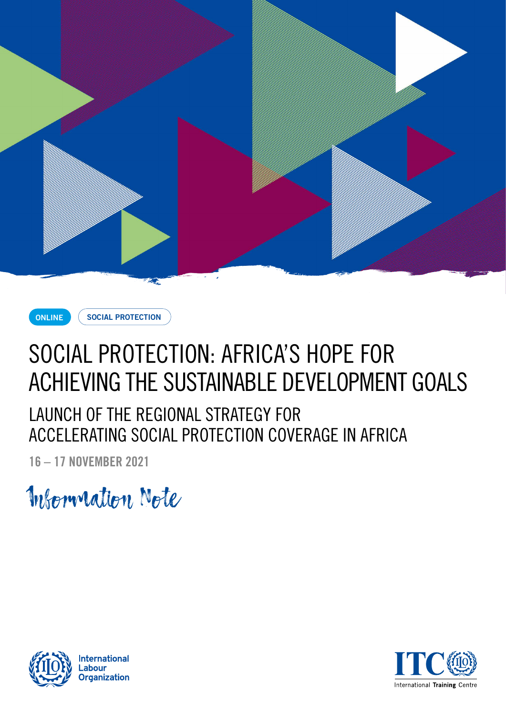



**SOCIAL PROTECTION**

# SOCIAL PROTECTION: AFRICA'S HOPE FOR ACHIEVING THE SUSTAINABLE DEVELOPMENT GOALS

LAUNCH OF THE REGIONAL STRATEGY FOR ACCELERATING SOCIAL PROTECTION COVERAGE IN AFRICA

**16 – 17 NOVEMBER 2021**

Information Note



**International** abour **Organization** 

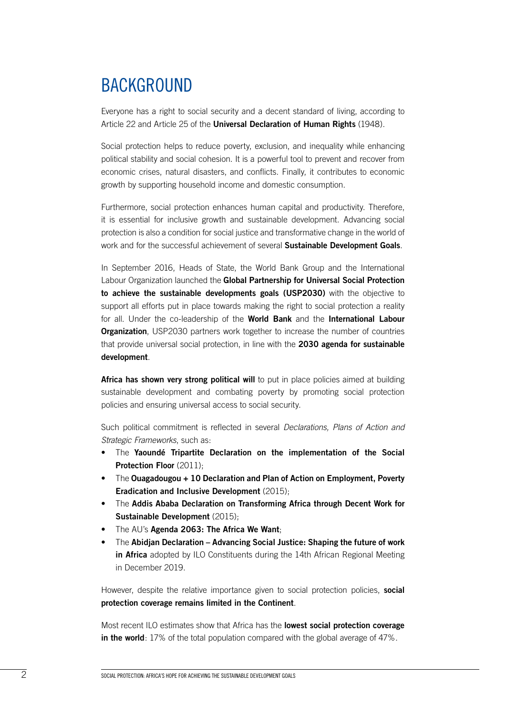## BACKGROUND

Everyone has a right to social security and a decent standard of living, according to Article 22 and Article 25 of the **Universal Declaration of Human Rights** (1948).

Social protection helps to reduce poverty, exclusion, and inequality while enhancing political stability and social cohesion. It is a powerful tool to prevent and recover from economic crises, natural disasters, and conflicts. Finally, it contributes to economic growth by supporting household income and domestic consumption.

Furthermore, social protection enhances human capital and productivity. Therefore, it is essential for inclusive growth and sustainable development. Advancing social protection is also a condition for social justice and transformative change in the world of work and for the successful achievement of several **Sustainable Development Goals**.

In September 2016, Heads of State, the World Bank Group and the International Labour Organization launched the **Global Partnership for Universal Social Protection to achieve the sustainable developments goals (USP2030)** with the objective to support all efforts put in place towards making the right to social protection a reality for all. Under the co-leadership of the **World Bank** and the **International Labour Organization**, USP2030 partners work together to increase the number of countries that provide universal social protection, in line with the **2030 agenda for sustainable development**.

Africa has shown very strong political will to put in place policies aimed at building sustainable development and combating poverty by promoting social protection policies and ensuring universal access to social security.

Such political commitment is reflected in several *Declarations, Plans of Action and Strategic Frameworks*, such as:

- The **Yaoundé Tripartite Declaration on the implementation of the Social Protection Floor** (2011);
- The **Ouagadougou + 10 Declaration and Plan of Action on Employment, Poverty Eradication and Inclusive Development** (2015);
- The **Addis Ababa Declaration on Transforming Africa through Decent Work for Sustainable Development** (2015);
- The AU's **Agenda 2063: The Africa We Want**;
- The **Abidjan Declaration Advancing Social Justice: Shaping the future of work in Africa** adopted by ILO Constituents during the 14th African Regional Meeting in December 2019.

However, despite the relative importance given to social protection policies, **social protection coverage remains limited in the Continent**.

Most recent ILO estimates show that Africa has the **lowest social protection coverage in the world**: 17% of the total population compared with the global average of 47%.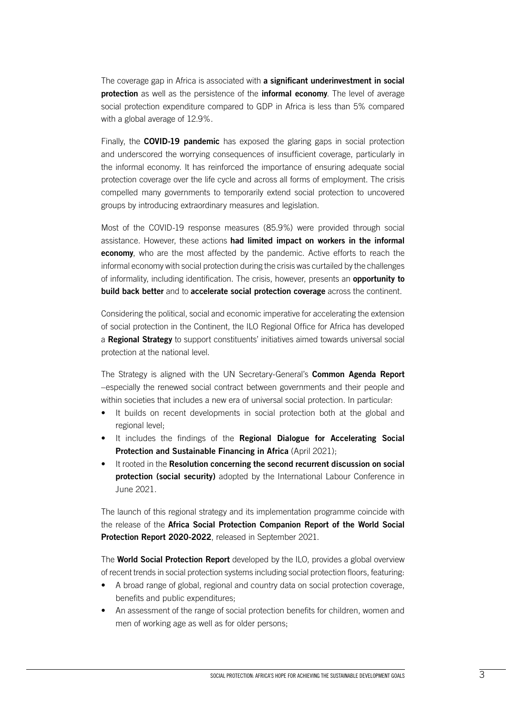The coverage gap in Africa is associated with **a significant underinvestment in social protection** as well as the persistence of the **informal economy**. The level of average social protection expenditure compared to GDP in Africa is less than 5% compared with a global average of 12.9%.

Finally, the **COVID-19 pandemic** has exposed the glaring gaps in social protection and underscored the worrying consequences of insufficient coverage, particularly in the informal economy. It has reinforced the importance of ensuring adequate social protection coverage over the life cycle and across all forms of employment. The crisis compelled many governments to temporarily extend social protection to uncovered groups by introducing extraordinary measures and legislation.

Most of the COVID-19 response measures (85.9%) were provided through social assistance. However, these actions **had limited impact on workers in the informal economy**, who are the most affected by the pandemic. Active efforts to reach the informal economy with social protection during the crisis was curtailed by the challenges of informality, including identification. The crisis, however, presents an **opportunity to build back better** and to **accelerate social protection coverage** across the continent.

Considering the political, social and economic imperative for accelerating the extension of social protection in the Continent, the ILO Regional Office for Africa has developed a **Regional Strategy** to support constituents' initiatives aimed towards universal social protection at the national level.

The Strategy is aligned with the UN Secretary-General's **Common Agenda Report** –especially the renewed social contract between governments and their people and within societies that includes a new era of universal social protection. In particular:

- It builds on recent developments in social protection both at the global and regional level;
- It includes the findings of the **Regional Dialogue for Accelerating Social Protection and Sustainable Financing in Africa** (April 2021);
- It rooted in the **Resolution concerning the second recurrent discussion on social protection (social security)** adopted by the International Labour Conference in June 2021.

The launch of this regional strategy and its implementation programme coincide with the release of the **Africa Social Protection Companion Report of the World Social Protection Report 2020-2022**, released in September 2021.

The **World Social Protection Report** developed by the ILO, provides a global overview of recent trends in social protection systems including social protection floors, featuring:

- A broad range of global, regional and country data on social protection coverage, benefits and public expenditures;
- An assessment of the range of social protection benefits for children, women and men of working age as well as for older persons;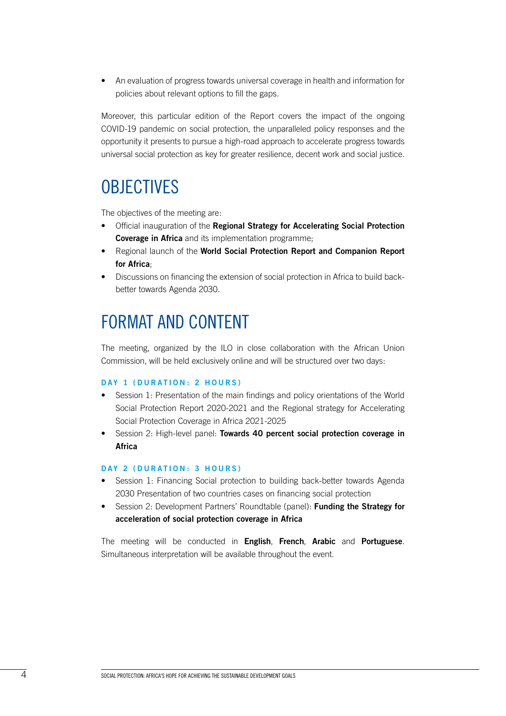• An evaluation of progress towards universal coverage in health and information for policies about relevant options to fill the gaps.

Moreover, this particular edition of the Report covers the impact of the ongoing COVID-19 pandemic on social protection, the unparalleled policy responses and the opportunity it presents to pursue a high-road approach to accelerate progress towards universal social protection as key for greater resilience, decent work and social justice.

### **OBJECTIVES**

The objectives of the meeting are:

- Official inauguration of the **Regional Strategy for Accelerating Social Protection Coverage in Africa** and its implementation programme;
- Regional launch of the **World Social Protection Report and Companion Report for Africa**;
- Discussions on financing the extension of social protection in Africa to build backbetter towards Agenda 2030.

### FORMAT AND CONTENT

The meeting, organized by the ILO in close collaboration with the African Union Commission, will be held exclusively online and will be structured over two days:

#### **DAY 1 (DURATION: 2 HOURS)**

- Session 1: Presentation of the main findings and policy orientations of the World Social Protection Report 2020-2021 and the Regional strategy for Accelerating Social Protection Coverage in Africa 2021-2025
- Session 2: High-level panel: **Towards 40 percent social protection coverage in Africa**

#### **DAY 2 (DURATION: 3 HOURS)**

- Session 1: Financing Social protection to building back-better towards Agenda 2030 Presentation of two countries cases on financing social protection
- Session 2: Development Partners' Roundtable (panel): **Funding the Strategy for acceleration of social protection coverage in Africa**

The meeting will be conducted in **English**, **French**, **Arabic** and **Portuguese**. Simultaneous interpretation will be available throughout the event.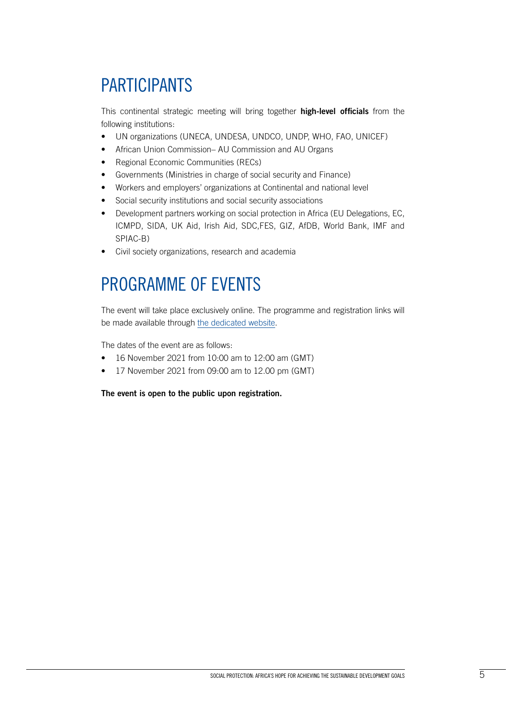## PARTICIPANTS

This continental strategic meeting will bring together **high-level officials** from the following institutions:

- UN organizations (UNECA, UNDESA, UNDCO, UNDP, WHO, FAO, UNICEF)
- African Union Commission– AU Commission and AU Organs
- Regional Economic Communities (RECs)
- Governments (Ministries in charge of social security and Finance)
- Workers and employers' organizations at Continental and national level
- Social security institutions and social security associations
- Development partners working on social protection in Africa (EU Delegations, EC, ICMPD, SIDA, UK Aid, Irish Aid, SDC,FES, GIZ, AfDB, World Bank, IMF and SPIAC-B)
- Civil society organizations, research and academia

## PROGRAMME OF EVENTS

The event will take place exclusively online. The programme and registration links will be made available through [the dedicated website.](https://www.itcilo.org/events/social-protection-africas-hope-achieving-sustainable-development-goals)

The dates of the event are as follows:

- 16 November 2021 from 10:00 am to 12:00 am (GMT)
- 17 November 2021 from 09:00 am to 12.00 pm (GMT)

**The event is open to the public upon registration.**